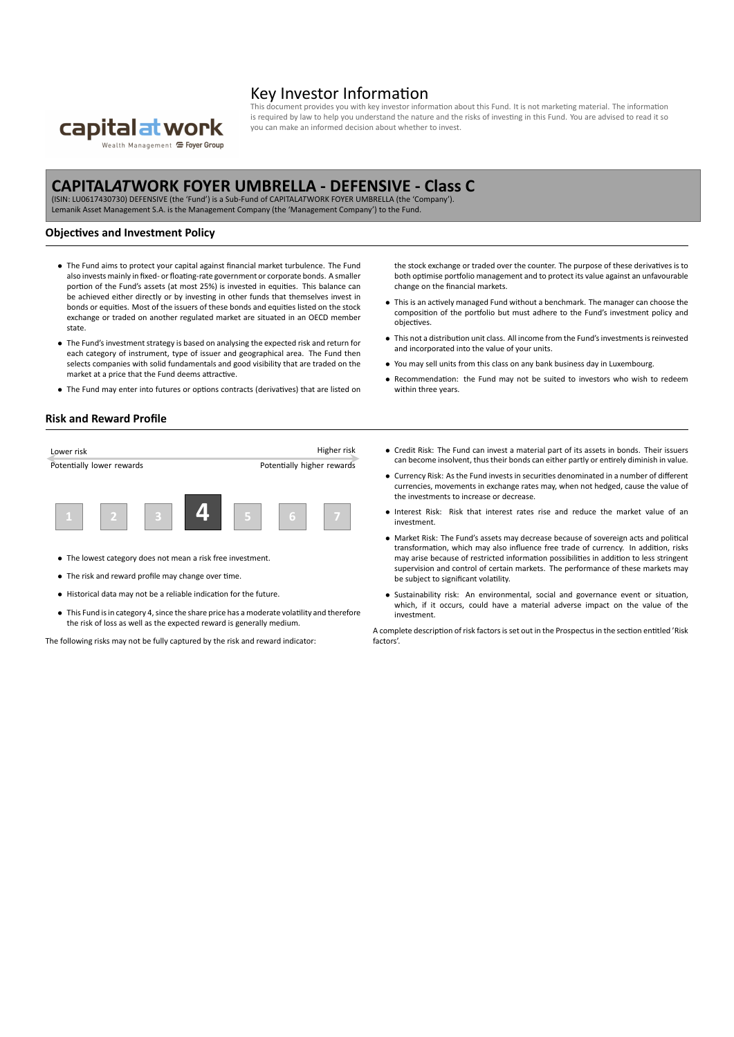

## Key Investor Information

cument provides you with key investor information about this Fund. It is not marketing material. The information is required by law to help you understand the nature and the risks of investing in this Fund. You are advised to read it so you can make an informed decision about whether to invest.

# **CAPITAL***AT***WORK FOYER UMBRELLA ‐ DEFENSIVE ‐ Class C**

(ISIN: LU0617430730) DEFENSIVE (the 'Fund') is a Sub‐Fund of CAPITAL*AT*WORK FOYER UMBRELLA (the 'Company'). Lemanik Asset Management S.A. is the Management Company (the 'Management Company') to the Fund.

### **Objectives and Investment Policy**

- *•* The Fund aims to protect your capital against financial market turbulence. The Fund also invests mainly in fixed‐ or floating‐rate government or corporate bonds. A smaller portion of the Fund's assets (at most 25%) is invested in equities. This balance can be achieved either directly or by investing in other funds that themselves invest in bonds or equities. Most of the issuers of these bonds and equities listed on the stock exchange or traded on another regulated market are situated in an OECD member state.
- *•* The Fund's investment strategy is based on analysing the expected risk and return for each category of instrument, type of issuer and geographical area. The Fund then selects companies with solid fundamentals and good visibility that are traded on the market at a price that the Fund deems attractive.
- *•* The Fund may enter into futures or options contracts (derivatives) that are listed on

#### **Risk and Reward Profile**

| Lower risk                |  |  | Higher risk |                            |   |  |
|---------------------------|--|--|-------------|----------------------------|---|--|
| Potentially lower rewards |  |  |             | Potentially higher rewards |   |  |
|                           |  |  |             |                            |   |  |
|                           |  |  |             |                            | ь |  |

- *•* The lowest category does not mean a risk free investment.
- *•* The risk and reward profile may change over time.
- *•* Historical data may not be a reliable indication for the future.
- *•* This Fund is in category 4, since the share price has a moderate volatility and therefore the risk of loss as well as the expected reward is generally medium.

The following risks may not be fully captured by the risk and reward indicator:

the stock exchange or traded over the counter. The purpose of these derivatives is to both optimise portfolio management and to protect its value against an unfavourable change on the financial markets.

- *•* This is an actively managed Fund without a benchmark. The manager can choose the composition of the portfolio but must adhere to the Fund's investment policy and objectives.
- *•* This not a distribution unit class. All income from the Fund's investments is reinvested and incorporated into the value of your units.
- *•* You may sell units from this class on any bank business day in Luxembourg.
- *•* Recommendation: the Fund may not be suited to investors who wish to redeem within three years.
- *•* Credit Risk: The Fund can invest a material part of its assets in bonds. Their issuers can become insolvent, thus their bonds can either partly or entirely diminish in value.
- *•* Currency Risk: As the Fund invests in securities denominated in a number of different currencies, movements in exchange rates may, when not hedged, cause the value of the investments to increase or decrease.
- *•* Interest Risk: Risk that interest rates rise and reduce the market value of an investment.
- Market Risk: The Fund's assets may decrease because of sovereign acts and political transformation, which may also influence free trade of currency. In addition, risks may arise because of restricted information possibilities in addition to less stringent supervision and control of certain markets. The performance of these markets may be subject to significant volatility.
- *•* Sustainability risk: An environmental, social and governance event or situation, which, if it occurs, could have a material adverse impact on the value of the investment.

A complete description of risk factors is set out in the Prospectus in the section entitled 'Risk factors'.